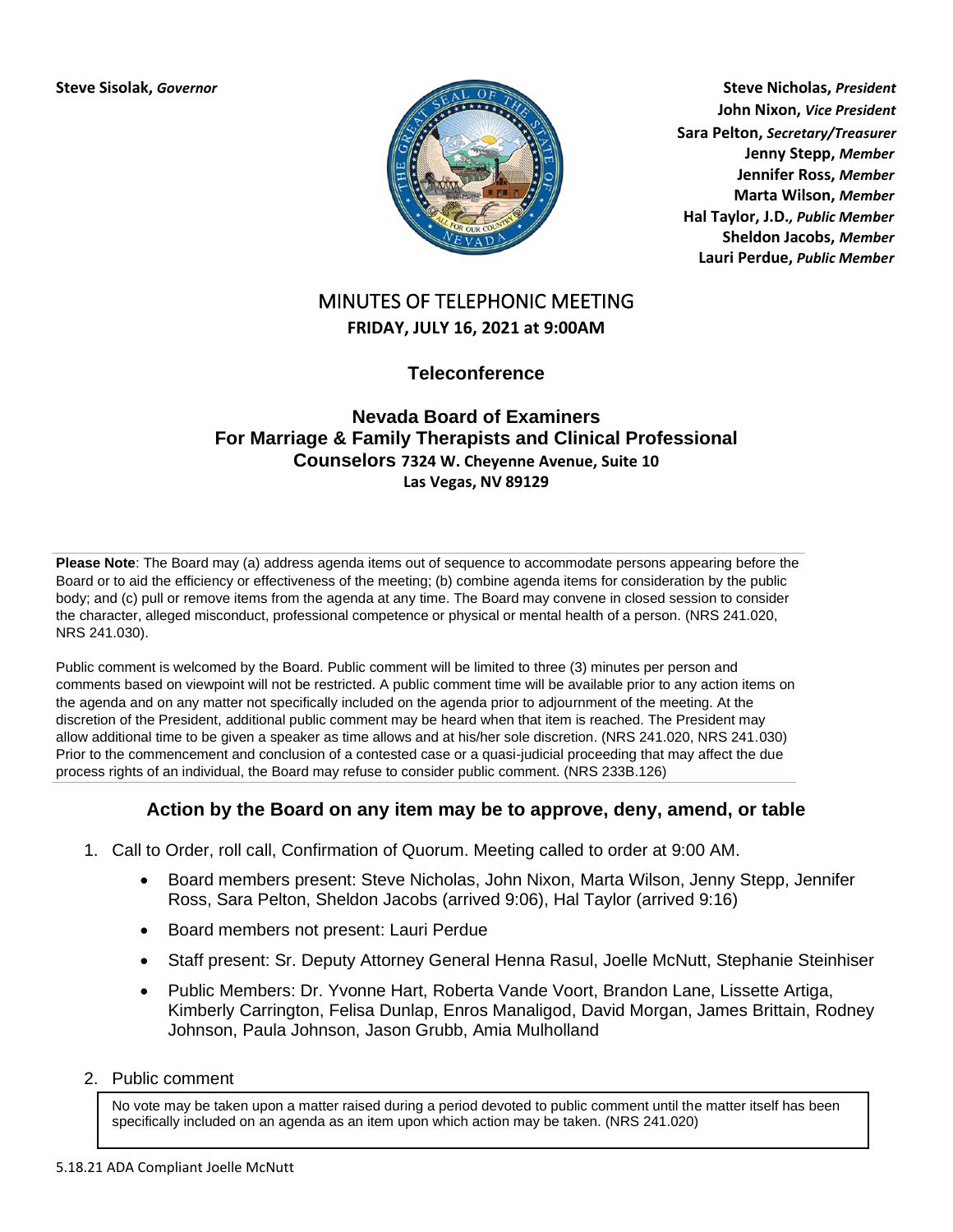

**Steve Sisolak,** *Governor* **Steve Nicholas,** *President* **John Nixon,** *Vice President* **Sara Pelton,** *Secretary/Treasurer* **Jenny Stepp,** *Member* **Jennifer Ross,** *Member* **Marta Wilson,** *Member* **Hal Taylor, J.D.***, Public Member* **Sheldon Jacobs,** *Member* **Lauri Perdue,** *Public Member*

# MINUTES OF TELEPHONIC MEETING **FRIDAY, JULY 16, 2021 at 9:00AM**

**Teleconference**

### **[Nevada Board of Examiners](https://zoom.us/j/94254747416) For Marriage & Family Therapists and Clinical Professional Counselors 7324 W. Cheyenne Avenue, Suite 10 Las Vegas, NV 89129**

**Please Note**: The Board may (a) address agenda items out of sequence to accommodate persons appearing before the Board or to aid the efficiency or effectiveness of the meeting; (b) combine agenda items for consideration by the public body; and (c) pull or remove items from the agenda at any time. The Board may convene in closed session to consider the character, alleged misconduct, professional competence or physical or mental health of a person. (NRS 241.020, NRS 241.030).

Public comment is welcomed by the Board. Public comment will be limited to three (3) minutes per person and comments based on viewpoint will not be restricted. A public comment time will be available prior to any action items on the agenda and on any matter not specifically included on the agenda prior to adjournment of the meeting. At the discretion of the President, additional public comment may be heard when that item is reached. The President may allow additional time to be given a speaker as time allows and at his/her sole discretion. (NRS 241.020, NRS 241.030) Prior to the commencement and conclusion of a contested case or a quasi-judicial proceeding that may affect the due process rights of an individual, the Board may refuse to consider public comment. (NRS 233B.126)

## **Action by the Board on any item may be to approve, deny, amend, or table**

- 1. Call to Order, roll call, Confirmation of Quorum. Meeting called to order at 9:00 AM.
	- Board members present: Steve Nicholas, John Nixon, Marta Wilson, Jenny Stepp, Jennifer Ross, Sara Pelton, Sheldon Jacobs (arrived 9:06), Hal Taylor (arrived 9:16)
	- Board members not present: Lauri Perdue
	- Staff present: Sr. Deputy Attorney General Henna Rasul, Joelle McNutt, Stephanie Steinhiser
	- Public Members: Dr. Yvonne Hart, Roberta Vande Voort, Brandon Lane, Lissette Artiga, Kimberly Carrington, Felisa Dunlap, Enros Manaligod, David Morgan, James Brittain, Rodney Johnson, Paula Johnson, Jason Grubb, Amia Mulholland
- 2. Public comment

No vote may be taken upon a matter raised during a period devoted to public comment until the matter itself has been specifically included on an agenda as an item upon which action may be taken. (NRS 241.020)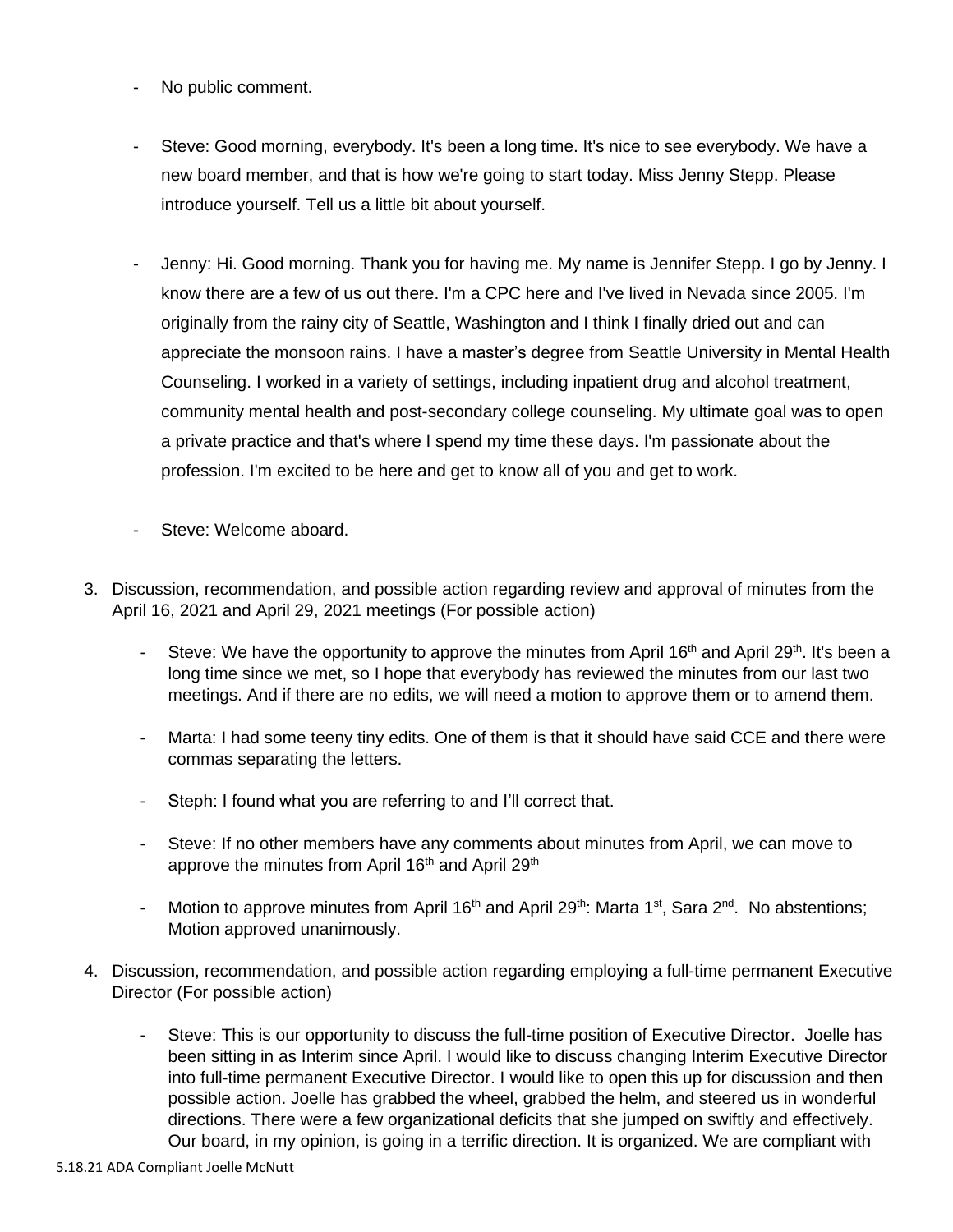- No public comment.
- Steve: Good morning, everybody. It's been a long time. It's nice to see everybody. We have a new board member, and that is how we're going to start today. Miss Jenny Stepp. Please introduce yourself. Tell us a little bit about yourself.
- Jenny: Hi. Good morning. Thank you for having me. My name is Jennifer Stepp. I go by Jenny. I know there are a few of us out there. I'm a CPC here and I've lived in Nevada since 2005. I'm originally from the rainy city of Seattle, Washington and I think I finally dried out and can appreciate the monsoon rains. I have a master's degree from Seattle University in Mental Health Counseling. I worked in a variety of settings, including inpatient drug and alcohol treatment, community mental health and post-secondary college counseling. My ultimate goal was to open a private practice and that's where I spend my time these days. I'm passionate about the profession. I'm excited to be here and get to know all of you and get to work.
- Steve: Welcome aboard.
- 3. Discussion, recommendation, and possible action regarding review and approval of minutes from the April 16, 2021 and April 29, 2021 meetings (For possible action)
	- Steve: We have the opportunity to approve the minutes from April 16<sup>th</sup> and April 29<sup>th</sup>. It's been a long time since we met, so I hope that everybody has reviewed the minutes from our last two meetings. And if there are no edits, we will need a motion to approve them or to amend them.
	- Marta: I had some teeny tiny edits. One of them is that it should have said CCE and there were commas separating the letters.
	- Steph: I found what you are referring to and I'll correct that.
	- Steve: If no other members have any comments about minutes from April, we can move to approve the minutes from April 16<sup>th</sup> and April 29<sup>th</sup>
	- Motion to approve minutes from April 16<sup>th</sup> and April 29<sup>th</sup>: Marta 1<sup>st</sup>, Sara 2<sup>nd</sup>. No abstentions; Motion approved unanimously.
- 4. Discussion, recommendation, and possible action regarding employing a full-time permanent Executive Director (For possible action)
	- Steve: This is our opportunity to discuss the full-time position of Executive Director. Joelle has been sitting in as Interim since April. I would like to discuss changing Interim Executive Director into full-time permanent Executive Director. I would like to open this up for discussion and then possible action. Joelle has grabbed the wheel, grabbed the helm, and steered us in wonderful directions. There were a few organizational deficits that she jumped on swiftly and effectively. Our board, in my opinion, is going in a terrific direction. It is organized. We are compliant with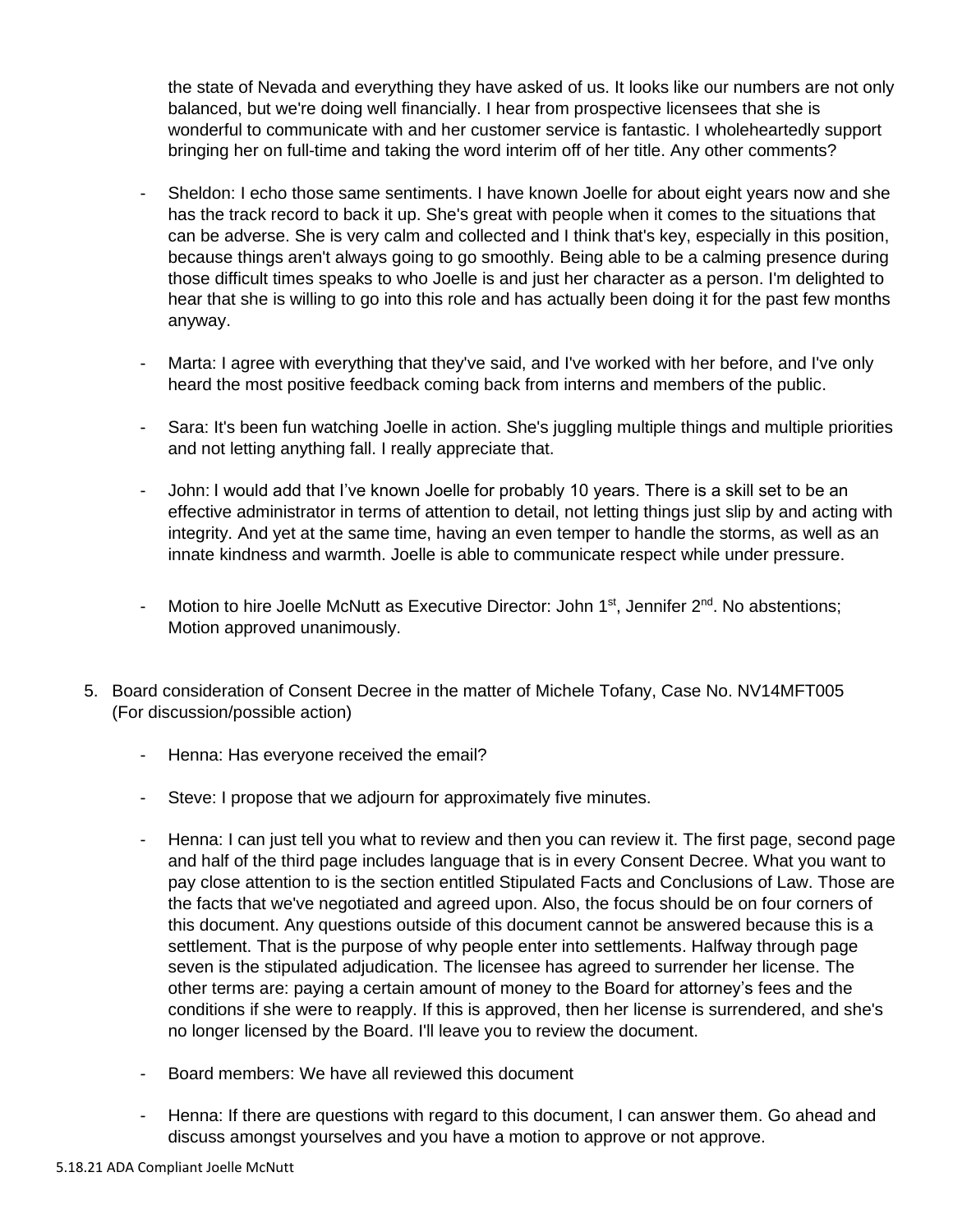the state of Nevada and everything they have asked of us. It looks like our numbers are not only balanced, but we're doing well financially. I hear from prospective licensees that she is wonderful to communicate with and her customer service is fantastic. I wholeheartedly support bringing her on full-time and taking the word interim off of her title. Any other comments?

- Sheldon: I echo those same sentiments. I have known Joelle for about eight years now and she has the track record to back it up. She's great with people when it comes to the situations that can be adverse. She is very calm and collected and I think that's key, especially in this position, because things aren't always going to go smoothly. Being able to be a calming presence during those difficult times speaks to who Joelle is and just her character as a person. I'm delighted to hear that she is willing to go into this role and has actually been doing it for the past few months anyway.
- Marta: I agree with everything that they've said, and I've worked with her before, and I've only heard the most positive feedback coming back from interns and members of the public.
- Sara: It's been fun watching Joelle in action. She's juggling multiple things and multiple priorities and not letting anything fall. I really appreciate that.
- John: I would add that I've known Joelle for probably 10 years. There is a skill set to be an effective administrator in terms of attention to detail, not letting things just slip by and acting with integrity. And yet at the same time, having an even temper to handle the storms, as well as an innate kindness and warmth. Joelle is able to communicate respect while under pressure.
- Motion to hire Joelle McNutt as Executive Director: John 1<sup>st</sup>, Jennifer 2<sup>nd</sup>. No abstentions; Motion approved unanimously.
- 5. Board consideration of Consent Decree in the matter of Michele Tofany, Case No. NV14MFT005 (For discussion/possible action)
	- Henna: Has everyone received the email?
	- Steve: I propose that we adjourn for approximately five minutes.
	- Henna: I can just tell you what to review and then you can review it. The first page, second page and half of the third page includes language that is in every Consent Decree. What you want to pay close attention to is the section entitled Stipulated Facts and Conclusions of Law. Those are the facts that we've negotiated and agreed upon. Also, the focus should be on four corners of this document. Any questions outside of this document cannot be answered because this is a settlement. That is the purpose of why people enter into settlements. Halfway through page seven is the stipulated adjudication. The licensee has agreed to surrender her license. The other terms are: paying a certain amount of money to the Board for attorney's fees and the conditions if she were to reapply. If this is approved, then her license is surrendered, and she's no longer licensed by the Board. I'll leave you to review the document.
	- Board members: We have all reviewed this document
	- Henna: If there are questions with regard to this document, I can answer them. Go ahead and discuss amongst yourselves and you have a motion to approve or not approve.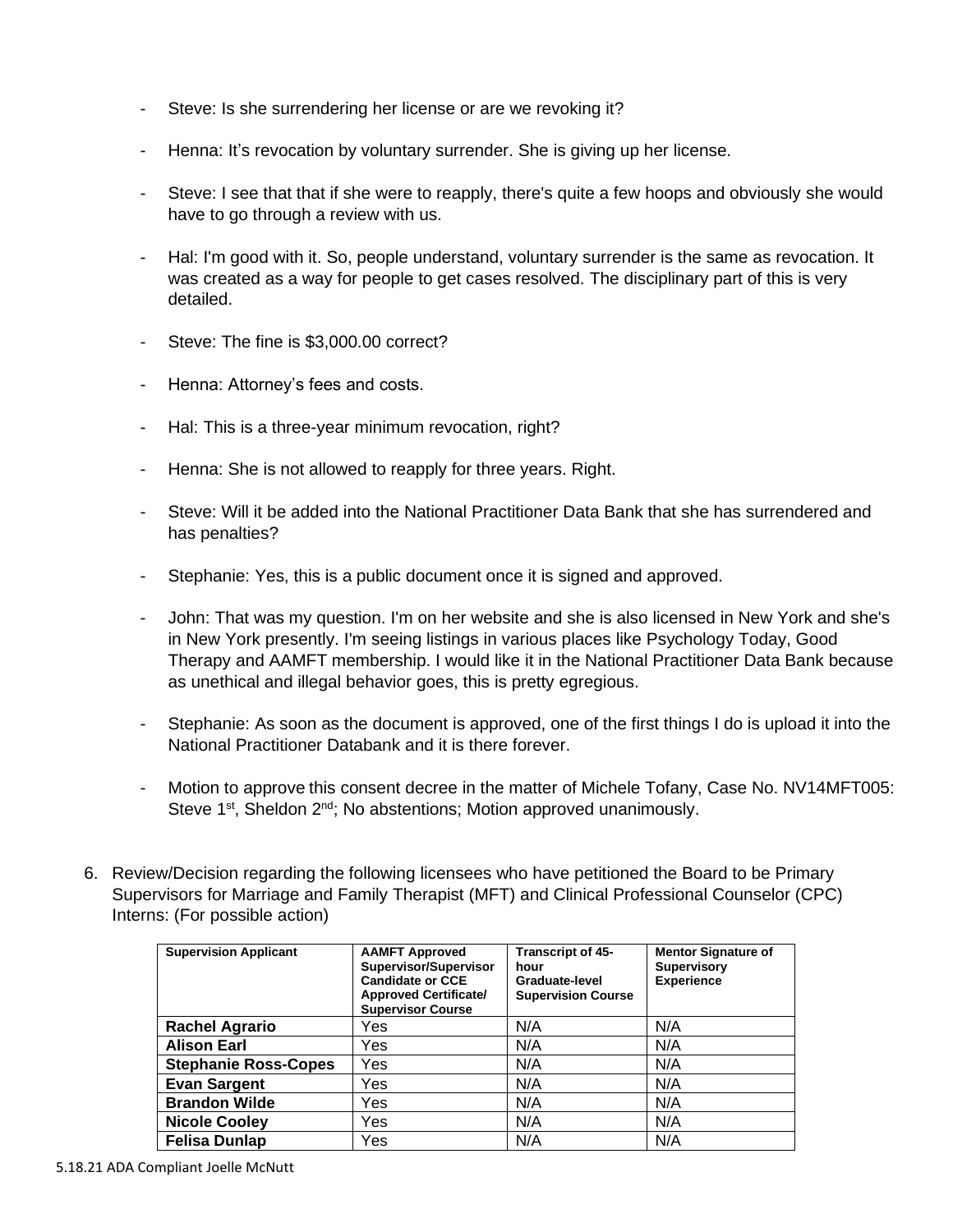- Steve: Is she surrendering her license or are we revoking it?
- Henna: It's revocation by voluntary surrender. She is giving up her license.
- Steve: I see that that if she were to reapply, there's quite a few hoops and obviously she would have to go through a review with us.
- Hal: I'm good with it. So, people understand, voluntary surrender is the same as revocation. It was created as a way for people to get cases resolved. The disciplinary part of this is very detailed.
- Steve: The fine is \$3,000.00 correct?
- Henna: Attorney's fees and costs.
- Hal: This is a three-year minimum revocation, right?
- Henna: She is not allowed to reapply for three years. Right.
- Steve: Will it be added into the National Practitioner Data Bank that she has surrendered and has penalties?
- Stephanie: Yes, this is a public document once it is signed and approved.
- John: That was my question. I'm on her website and she is also licensed in New York and she's in New York presently. I'm seeing listings in various places like Psychology Today, Good Therapy and AAMFT membership. I would like it in the National Practitioner Data Bank because as unethical and illegal behavior goes, this is pretty egregious.
- Stephanie: As soon as the document is approved, one of the first things I do is upload it into the National Practitioner Databank and it is there forever.
- Motion to approve this consent decree in the matter of Michele Tofany, Case No. NV14MFT005: Steve 1<sup>st</sup>, Sheldon 2<sup>nd</sup>; No abstentions; Motion approved unanimously.
- 6. Review/Decision regarding the following licensees who have petitioned the Board to be Primary Supervisors for Marriage and Family Therapist (MFT) and Clinical Professional Counselor (CPC) Interns: (For possible action)

| <b>Supervision Applicant</b> | <b>AAMFT Approved</b><br>Supervisor/Supervisor<br><b>Candidate or CCE</b><br><b>Approved Certificate/</b><br><b>Supervisor Course</b> | <b>Transcript of 45-</b><br>hour<br>Graduate-level<br><b>Supervision Course</b> | <b>Mentor Signature of</b><br>Supervisory<br><b>Experience</b> |
|------------------------------|---------------------------------------------------------------------------------------------------------------------------------------|---------------------------------------------------------------------------------|----------------------------------------------------------------|
| <b>Rachel Agrario</b>        | Yes                                                                                                                                   | N/A                                                                             | N/A                                                            |
| <b>Alison Earl</b>           | Yes                                                                                                                                   | N/A                                                                             | N/A                                                            |
| <b>Stephanie Ross-Copes</b>  | Yes                                                                                                                                   | N/A                                                                             | N/A                                                            |
| <b>Evan Sargent</b>          | Yes                                                                                                                                   | N/A                                                                             | N/A                                                            |
| <b>Brandon Wilde</b>         | Yes                                                                                                                                   | N/A                                                                             | N/A                                                            |
| <b>Nicole Cooley</b>         | Yes                                                                                                                                   | N/A                                                                             | N/A                                                            |
| <b>Felisa Dunlap</b>         | Yes                                                                                                                                   | N/A                                                                             | N/A                                                            |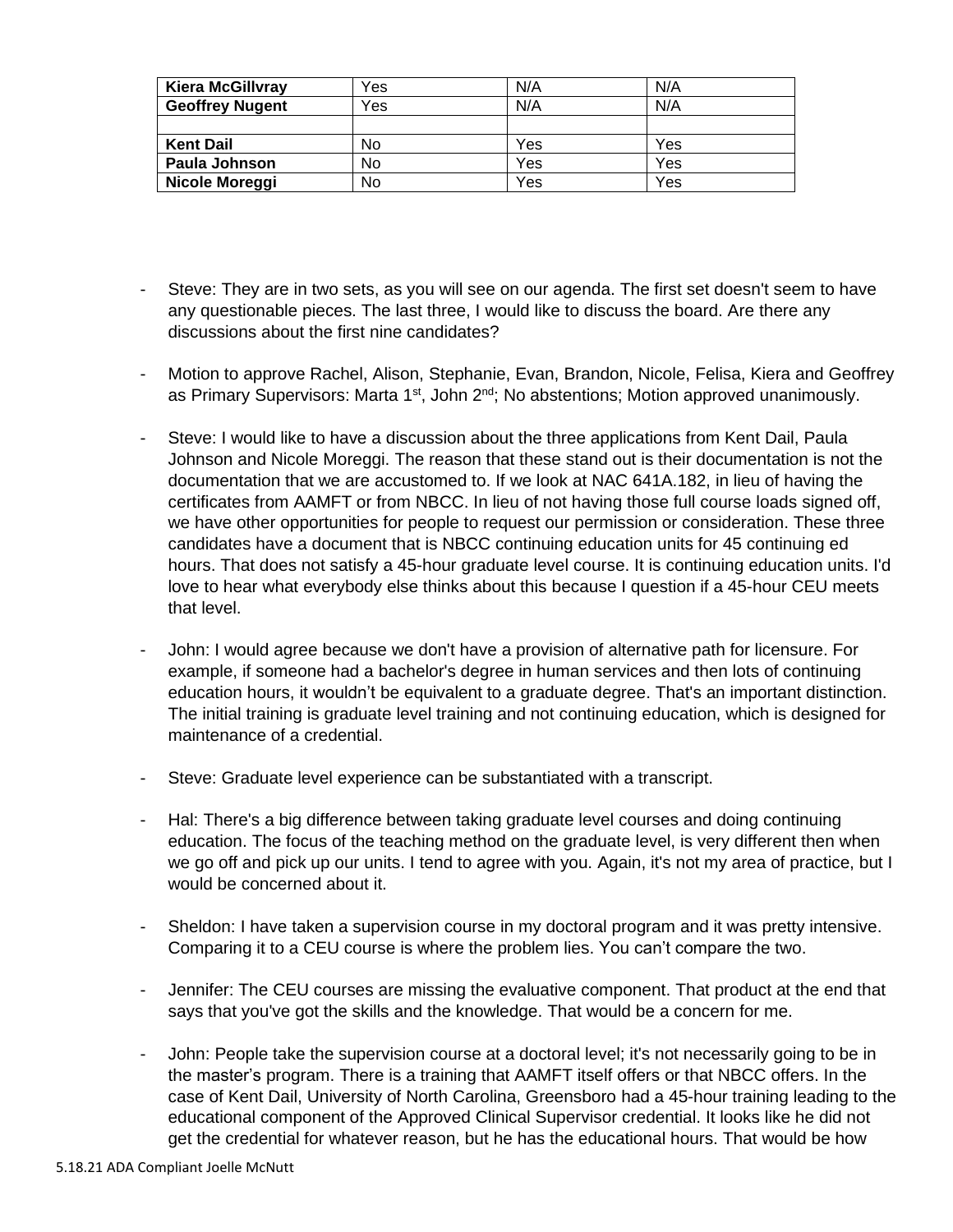| <b>Kiera McGillvray</b> | Yes | N/A | N/A |
|-------------------------|-----|-----|-----|
| <b>Geoffrey Nugent</b>  | Yes | N/A | N/A |
|                         |     |     |     |
|                         |     |     |     |
| <b>Kent Dail</b>        | No  | Yes | Yes |
| Paula Johnson           | No  | Yes | Yes |

- Steve: They are in two sets, as you will see on our agenda. The first set doesn't seem to have any questionable pieces. The last three, I would like to discuss the board. Are there any discussions about the first nine candidates?
- Motion to approve Rachel, Alison, Stephanie, Evan, Brandon, Nicole, Felisa, Kiera and Geoffrey as Primary Supervisors: Marta  $1^{st}$ , John  $2^{nd}$ ; No abstentions; Motion approved unanimously.
- Steve: I would like to have a discussion about the three applications from Kent Dail, Paula Johnson and Nicole Moreggi. The reason that these stand out is their documentation is not the documentation that we are accustomed to. If we look at NAC 641A.182, in lieu of having the certificates from AAMFT or from NBCC. In lieu of not having those full course loads signed off, we have other opportunities for people to request our permission or consideration. These three candidates have a document that is NBCC continuing education units for 45 continuing ed hours. That does not satisfy a 45-hour graduate level course. It is continuing education units. I'd love to hear what everybody else thinks about this because I question if a 45-hour CEU meets that level.
- John: I would agree because we don't have a provision of alternative path for licensure. For example, if someone had a bachelor's degree in human services and then lots of continuing education hours, it wouldn't be equivalent to a graduate degree. That's an important distinction. The initial training is graduate level training and not continuing education, which is designed for maintenance of a credential.
- Steve: Graduate level experience can be substantiated with a transcript.
- Hal: There's a big difference between taking graduate level courses and doing continuing education. The focus of the teaching method on the graduate level, is very different then when we go off and pick up our units. I tend to agree with you. Again, it's not my area of practice, but I would be concerned about it.
- Sheldon: I have taken a supervision course in my doctoral program and it was pretty intensive. Comparing it to a CEU course is where the problem lies. You can't compare the two.
- Jennifer: The CEU courses are missing the evaluative component. That product at the end that says that you've got the skills and the knowledge. That would be a concern for me.
- John: People take the supervision course at a doctoral level; it's not necessarily going to be in the master's program. There is a training that AAMFT itself offers or that NBCC offers. In the case of Kent Dail, University of North Carolina, Greensboro had a 45-hour training leading to the educational component of the Approved Clinical Supervisor credential. It looks like he did not get the credential for whatever reason, but he has the educational hours. That would be how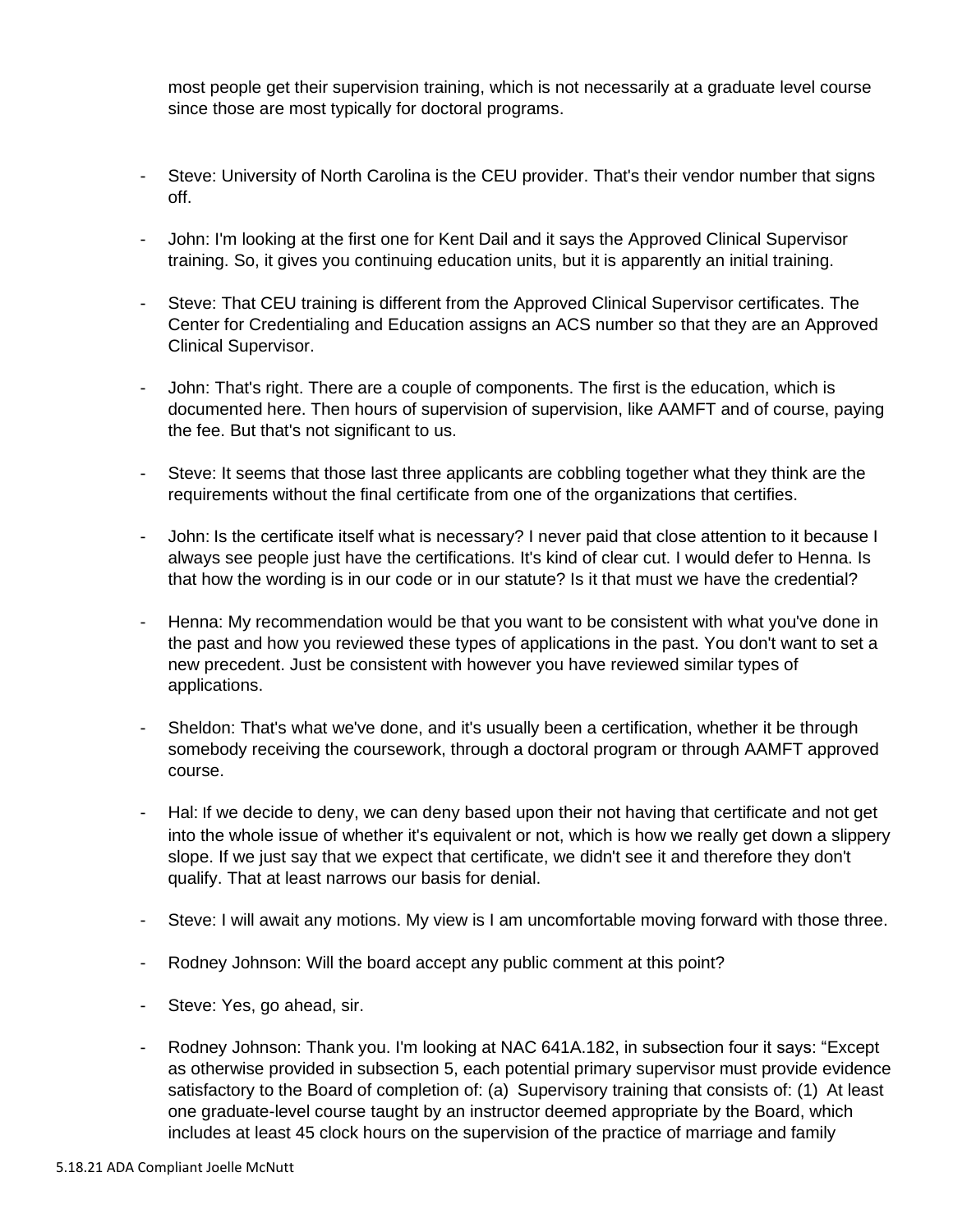most people get their supervision training, which is not necessarily at a graduate level course since those are most typically for doctoral programs.

- Steve: University of North Carolina is the CEU provider. That's their vendor number that signs off.
- John: I'm looking at the first one for Kent Dail and it says the Approved Clinical Supervisor training. So, it gives you continuing education units, but it is apparently an initial training.
- Steve: That CEU training is different from the Approved Clinical Supervisor certificates. The Center for Credentialing and Education assigns an ACS number so that they are an Approved Clinical Supervisor.
- John: That's right. There are a couple of components. The first is the education, which is documented here. Then hours of supervision of supervision, like AAMFT and of course, paying the fee. But that's not significant to us.
- Steve: It seems that those last three applicants are cobbling together what they think are the requirements without the final certificate from one of the organizations that certifies.
- John: Is the certificate itself what is necessary? I never paid that close attention to it because I always see people just have the certifications. It's kind of clear cut. I would defer to Henna. Is that how the wording is in our code or in our statute? Is it that must we have the credential?
- Henna: My recommendation would be that you want to be consistent with what you've done in the past and how you reviewed these types of applications in the past. You don't want to set a new precedent. Just be consistent with however you have reviewed similar types of applications.
- Sheldon: That's what we've done, and it's usually been a certification, whether it be through somebody receiving the coursework, through a doctoral program or through AAMFT approved course.
- Hal: If we decide to deny, we can deny based upon their not having that certificate and not get into the whole issue of whether it's equivalent or not, which is how we really get down a slippery slope. If we just say that we expect that certificate, we didn't see it and therefore they don't qualify. That at least narrows our basis for denial.
- Steve: I will await any motions. My view is I am uncomfortable moving forward with those three.
- Rodney Johnson: Will the board accept any public comment at this point?
- Steve: Yes, go ahead, sir.
- Rodney Johnson: Thank you. I'm looking at NAC 641A.182, in subsection four it says: "Except as otherwise provided in subsection 5, each potential primary supervisor must provide evidence satisfactory to the Board of completion of: (a) Supervisory training that consists of: (1) At least one graduate-level course taught by an instructor deemed appropriate by the Board, which includes at least 45 clock hours on the supervision of the practice of marriage and family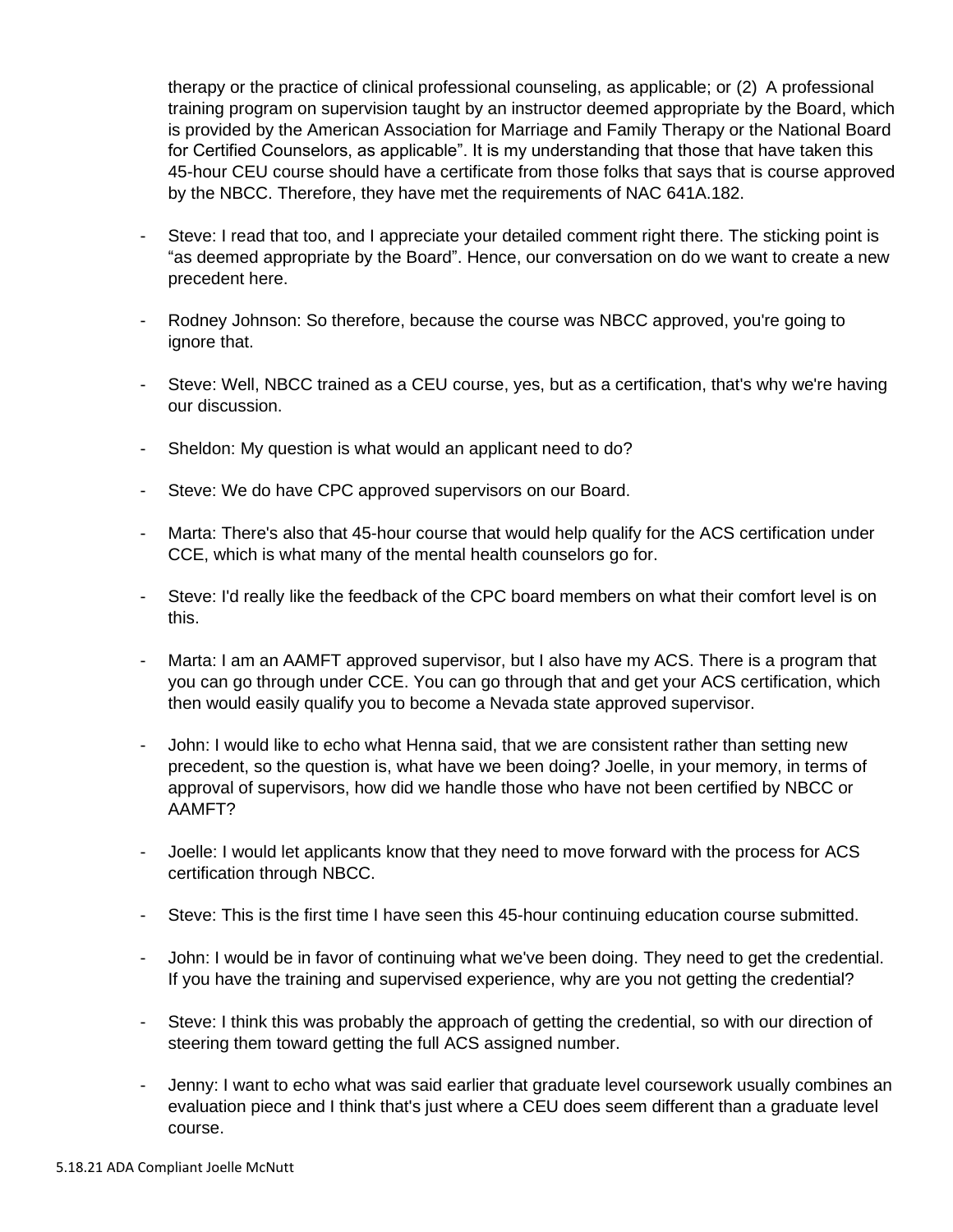therapy or the practice of clinical professional counseling, as applicable; or (2) A professional training program on supervision taught by an instructor deemed appropriate by the Board, which is provided by the American Association for Marriage and Family Therapy or the National Board for Certified Counselors, as applicable". It is my understanding that those that have taken this 45-hour CEU course should have a certificate from those folks that says that is course approved by the NBCC. Therefore, they have met the requirements of NAC 641A.182.

- Steve: I read that too, and I appreciate your detailed comment right there. The sticking point is "as deemed appropriate by the Board". Hence, our conversation on do we want to create a new precedent here.
- Rodney Johnson: So therefore, because the course was NBCC approved, you're going to ignore that.
- Steve: Well, NBCC trained as a CEU course, yes, but as a certification, that's why we're having our discussion.
- Sheldon: My question is what would an applicant need to do?
- Steve: We do have CPC approved supervisors on our Board.
- Marta: There's also that 45-hour course that would help qualify for the ACS certification under CCE, which is what many of the mental health counselors go for.
- Steve: I'd really like the feedback of the CPC board members on what their comfort level is on this.
- Marta: I am an AAMFT approved supervisor, but I also have my ACS. There is a program that you can go through under CCE. You can go through that and get your ACS certification, which then would easily qualify you to become a Nevada state approved supervisor.
- John: I would like to echo what Henna said, that we are consistent rather than setting new precedent, so the question is, what have we been doing? Joelle, in your memory, in terms of approval of supervisors, how did we handle those who have not been certified by NBCC or AAMFT?
- Joelle: I would let applicants know that they need to move forward with the process for ACS certification through NBCC.
- Steve: This is the first time I have seen this 45-hour continuing education course submitted.
- John: I would be in favor of continuing what we've been doing. They need to get the credential. If you have the training and supervised experience, why are you not getting the credential?
- Steve: I think this was probably the approach of getting the credential, so with our direction of steering them toward getting the full ACS assigned number.
- Jenny: I want to echo what was said earlier that graduate level coursework usually combines an evaluation piece and I think that's just where a CEU does seem different than a graduate level course.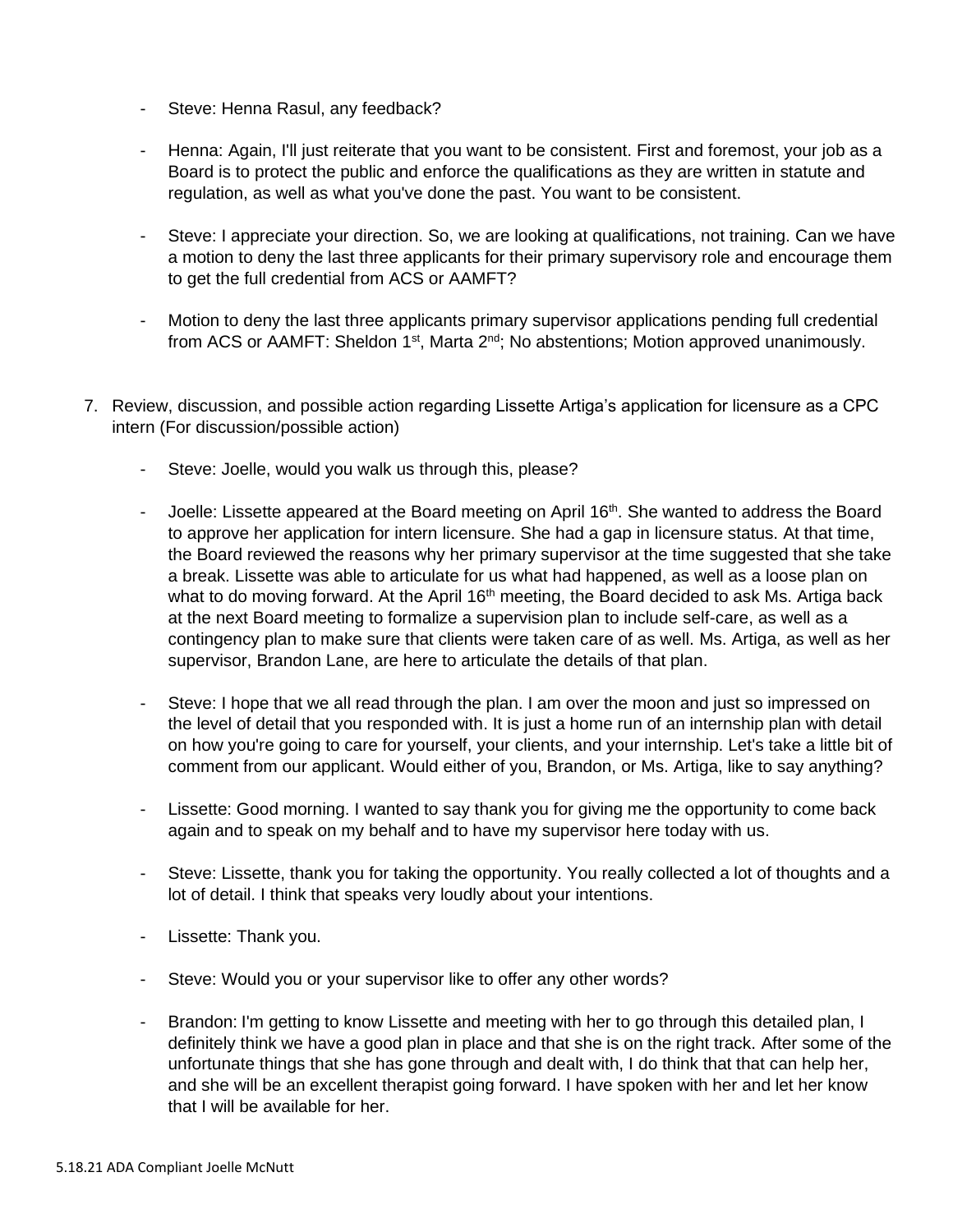- Steve: Henna Rasul, any feedback?
- Henna: Again, I'll just reiterate that you want to be consistent. First and foremost, your job as a Board is to protect the public and enforce the qualifications as they are written in statute and regulation, as well as what you've done the past. You want to be consistent.
- Steve: I appreciate your direction. So, we are looking at qualifications, not training. Can we have a motion to deny the last three applicants for their primary supervisory role and encourage them to get the full credential from ACS or AAMFT?
- Motion to deny the last three applicants primary supervisor applications pending full credential from ACS or AAMFT: Sheldon  $1<sup>st</sup>$ , Marta  $2<sup>nd</sup>$ ; No abstentions; Motion approved unanimously.
- 7. Review, discussion, and possible action regarding Lissette Artiga's application for licensure as a CPC intern (For discussion/possible action)
	- Steve: Joelle, would you walk us through this, please?
	- Joelle: Lissette appeared at the Board meeting on April  $16<sup>th</sup>$ . She wanted to address the Board to approve her application for intern licensure. She had a gap in licensure status. At that time, the Board reviewed the reasons why her primary supervisor at the time suggested that she take a break. Lissette was able to articulate for us what had happened, as well as a loose plan on what to do moving forward. At the April 16<sup>th</sup> meeting, the Board decided to ask Ms. Artiga back at the next Board meeting to formalize a supervision plan to include self-care, as well as a contingency plan to make sure that clients were taken care of as well. Ms. Artiga, as well as her supervisor, Brandon Lane, are here to articulate the details of that plan.
	- Steve: I hope that we all read through the plan. I am over the moon and just so impressed on the level of detail that you responded with. It is just a home run of an internship plan with detail on how you're going to care for yourself, your clients, and your internship. Let's take a little bit of comment from our applicant. Would either of you, Brandon, or Ms. Artiga, like to say anything?
	- Lissette: Good morning. I wanted to say thank you for giving me the opportunity to come back again and to speak on my behalf and to have my supervisor here today with us.
	- Steve: Lissette, thank you for taking the opportunity. You really collected a lot of thoughts and a lot of detail. I think that speaks very loudly about your intentions.
	- Lissette: Thank you.
	- Steve: Would you or your supervisor like to offer any other words?
	- Brandon: I'm getting to know Lissette and meeting with her to go through this detailed plan, I definitely think we have a good plan in place and that she is on the right track. After some of the unfortunate things that she has gone through and dealt with, I do think that that can help her, and she will be an excellent therapist going forward. I have spoken with her and let her know that I will be available for her.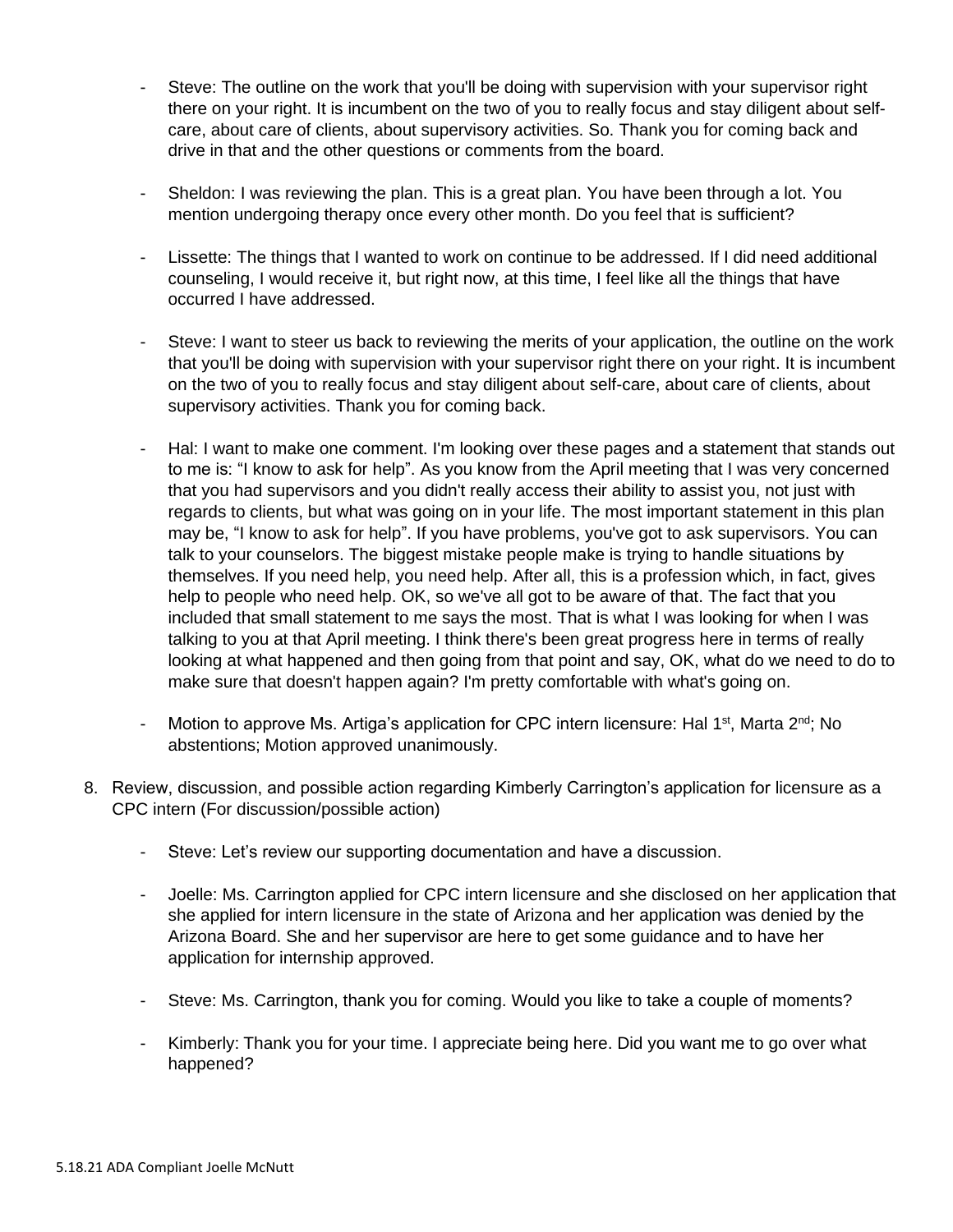- Steve: The outline on the work that you'll be doing with supervision with your supervisor right there on your right. It is incumbent on the two of you to really focus and stay diligent about selfcare, about care of clients, about supervisory activities. So. Thank you for coming back and drive in that and the other questions or comments from the board.
- Sheldon: I was reviewing the plan. This is a great plan. You have been through a lot. You mention undergoing therapy once every other month. Do you feel that is sufficient?
- Lissette: The things that I wanted to work on continue to be addressed. If I did need additional counseling, I would receive it, but right now, at this time, I feel like all the things that have occurred I have addressed.
- Steve: I want to steer us back to reviewing the merits of your application, the outline on the work that you'll be doing with supervision with your supervisor right there on your right. It is incumbent on the two of you to really focus and stay diligent about self-care, about care of clients, about supervisory activities. Thank you for coming back.
- Hal: I want to make one comment. I'm looking over these pages and a statement that stands out to me is: "I know to ask for help". As you know from the April meeting that I was very concerned that you had supervisors and you didn't really access their ability to assist you, not just with regards to clients, but what was going on in your life. The most important statement in this plan may be, "I know to ask for help". If you have problems, you've got to ask supervisors. You can talk to your counselors. The biggest mistake people make is trying to handle situations by themselves. If you need help, you need help. After all, this is a profession which, in fact, gives help to people who need help. OK, so we've all got to be aware of that. The fact that you included that small statement to me says the most. That is what I was looking for when I was talking to you at that April meeting. I think there's been great progress here in terms of really looking at what happened and then going from that point and say, OK, what do we need to do to make sure that doesn't happen again? I'm pretty comfortable with what's going on.
- Motion to approve Ms. Artiga's application for CPC intern licensure: Hal 1<sup>st</sup>, Marta 2<sup>nd</sup>; No abstentions; Motion approved unanimously.
- 8. Review, discussion, and possible action regarding Kimberly Carrington's application for licensure as a CPC intern (For discussion/possible action)
	- Steve: Let's review our supporting documentation and have a discussion.
	- Joelle: Ms. Carrington applied for CPC intern licensure and she disclosed on her application that she applied for intern licensure in the state of Arizona and her application was denied by the Arizona Board. She and her supervisor are here to get some guidance and to have her application for internship approved.
	- Steve: Ms. Carrington, thank you for coming. Would you like to take a couple of moments?
	- Kimberly: Thank you for your time. I appreciate being here. Did you want me to go over what happened?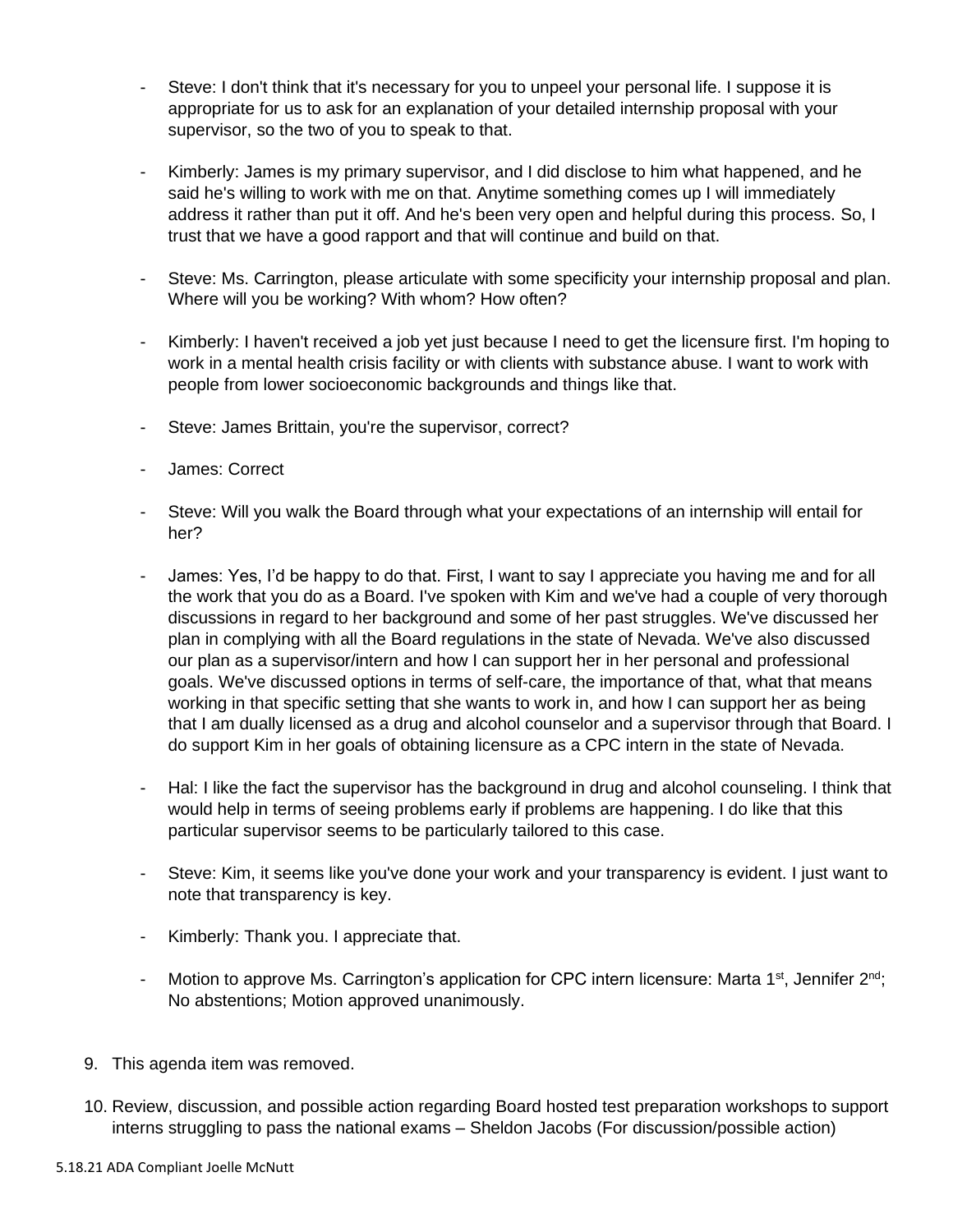- Steve: I don't think that it's necessary for you to unpeel your personal life. I suppose it is appropriate for us to ask for an explanation of your detailed internship proposal with your supervisor, so the two of you to speak to that.
- Kimberly: James is my primary supervisor, and I did disclose to him what happened, and he said he's willing to work with me on that. Anytime something comes up I will immediately address it rather than put it off. And he's been very open and helpful during this process. So, I trust that we have a good rapport and that will continue and build on that.
- Steve: Ms. Carrington, please articulate with some specificity your internship proposal and plan. Where will you be working? With whom? How often?
- Kimberly: I haven't received a job yet just because I need to get the licensure first. I'm hoping to work in a mental health crisis facility or with clients with substance abuse. I want to work with people from lower socioeconomic backgrounds and things like that.
- Steve: James Brittain, you're the supervisor, correct?
- James: Correct
- Steve: Will you walk the Board through what your expectations of an internship will entail for her?
- James: Yes, I'd be happy to do that. First, I want to say I appreciate you having me and for all the work that you do as a Board. I've spoken with Kim and we've had a couple of very thorough discussions in regard to her background and some of her past struggles. We've discussed her plan in complying with all the Board regulations in the state of Nevada. We've also discussed our plan as a supervisor/intern and how I can support her in her personal and professional goals. We've discussed options in terms of self-care, the importance of that, what that means working in that specific setting that she wants to work in, and how I can support her as being that I am dually licensed as a drug and alcohol counselor and a supervisor through that Board. I do support Kim in her goals of obtaining licensure as a CPC intern in the state of Nevada.
- Hal: I like the fact the supervisor has the background in drug and alcohol counseling. I think that would help in terms of seeing problems early if problems are happening. I do like that this particular supervisor seems to be particularly tailored to this case.
- Steve: Kim, it seems like you've done your work and your transparency is evident. I just want to note that transparency is key.
- Kimberly: Thank you. I appreciate that.
- Motion to approve Ms. Carrington's application for CPC intern licensure: Marta 1<sup>st</sup>, Jennifer 2<sup>nd</sup>; No abstentions; Motion approved unanimously.
- 9. This agenda item was removed.
- 10. Review, discussion, and possible action regarding Board hosted test preparation workshops to support interns struggling to pass the national exams – Sheldon Jacobs (For discussion/possible action)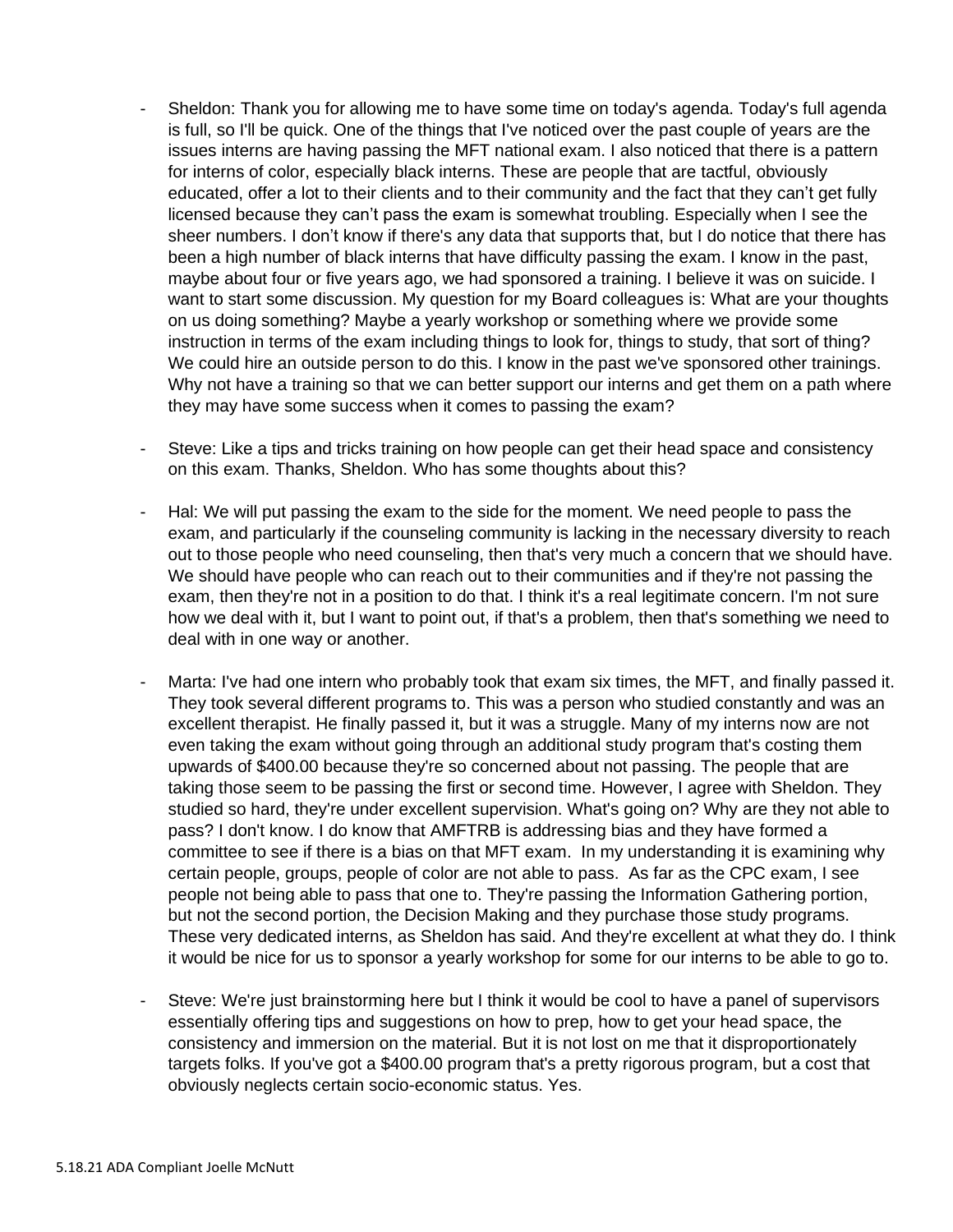- Sheldon: Thank you for allowing me to have some time on today's agenda. Today's full agenda is full, so I'll be quick. One of the things that I've noticed over the past couple of years are the issues interns are having passing the MFT national exam. I also noticed that there is a pattern for interns of color, especially black interns. These are people that are tactful, obviously educated, offer a lot to their clients and to their community and the fact that they can't get fully licensed because they can't pass the exam is somewhat troubling. Especially when I see the sheer numbers. I don't know if there's any data that supports that, but I do notice that there has been a high number of black interns that have difficulty passing the exam. I know in the past, maybe about four or five years ago, we had sponsored a training. I believe it was on suicide. I want to start some discussion. My question for my Board colleagues is: What are your thoughts on us doing something? Maybe a yearly workshop or something where we provide some instruction in terms of the exam including things to look for, things to study, that sort of thing? We could hire an outside person to do this. I know in the past we've sponsored other trainings. Why not have a training so that we can better support our interns and get them on a path where they may have some success when it comes to passing the exam?
- Steve: Like a tips and tricks training on how people can get their head space and consistency on this exam. Thanks, Sheldon. Who has some thoughts about this?
- Hal: We will put passing the exam to the side for the moment. We need people to pass the exam, and particularly if the counseling community is lacking in the necessary diversity to reach out to those people who need counseling, then that's very much a concern that we should have. We should have people who can reach out to their communities and if they're not passing the exam, then they're not in a position to do that. I think it's a real legitimate concern. I'm not sure how we deal with it, but I want to point out, if that's a problem, then that's something we need to deal with in one way or another.
- Marta: I've had one intern who probably took that exam six times, the MFT, and finally passed it. They took several different programs to. This was a person who studied constantly and was an excellent therapist. He finally passed it, but it was a struggle. Many of my interns now are not even taking the exam without going through an additional study program that's costing them upwards of \$400.00 because they're so concerned about not passing. The people that are taking those seem to be passing the first or second time. However, I agree with Sheldon. They studied so hard, they're under excellent supervision. What's going on? Why are they not able to pass? I don't know. I do know that AMFTRB is addressing bias and they have formed a committee to see if there is a bias on that MFT exam. In my understanding it is examining why certain people, groups, people of color are not able to pass. As far as the CPC exam, I see people not being able to pass that one to. They're passing the Information Gathering portion, but not the second portion, the Decision Making and they purchase those study programs. These very dedicated interns, as Sheldon has said. And they're excellent at what they do. I think it would be nice for us to sponsor a yearly workshop for some for our interns to be able to go to.
- Steve: We're just brainstorming here but I think it would be cool to have a panel of supervisors essentially offering tips and suggestions on how to prep, how to get your head space, the consistency and immersion on the material. But it is not lost on me that it disproportionately targets folks. If you've got a \$400.00 program that's a pretty rigorous program, but a cost that obviously neglects certain socio-economic status. Yes.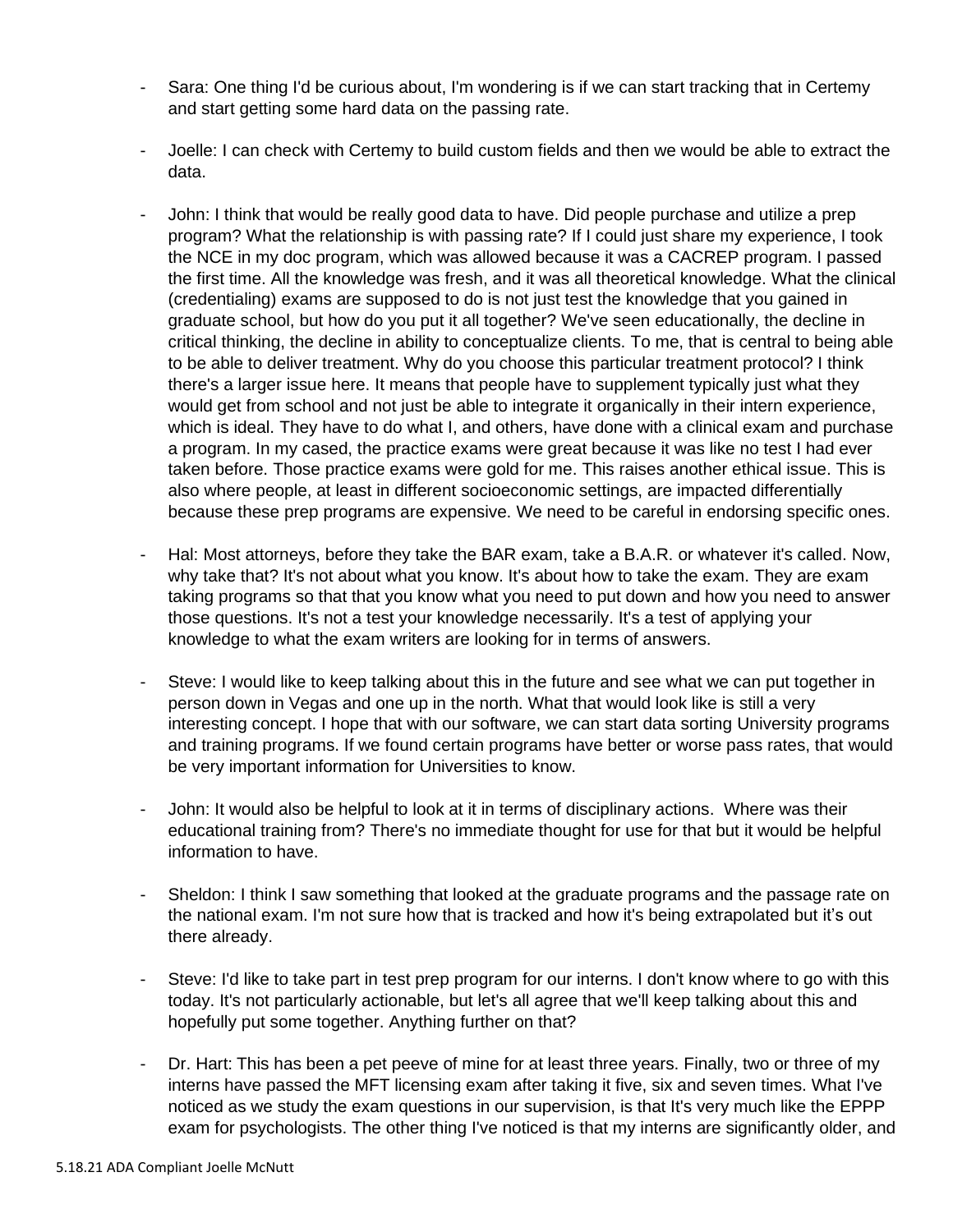- Sara: One thing I'd be curious about, I'm wondering is if we can start tracking that in Certemy and start getting some hard data on the passing rate.
- Joelle: I can check with Certemy to build custom fields and then we would be able to extract the data.
- John: I think that would be really good data to have. Did people purchase and utilize a prep program? What the relationship is with passing rate? If I could just share my experience, I took the NCE in my doc program, which was allowed because it was a CACREP program. I passed the first time. All the knowledge was fresh, and it was all theoretical knowledge. What the clinical (credentialing) exams are supposed to do is not just test the knowledge that you gained in graduate school, but how do you put it all together? We've seen educationally, the decline in critical thinking, the decline in ability to conceptualize clients. To me, that is central to being able to be able to deliver treatment. Why do you choose this particular treatment protocol? I think there's a larger issue here. It means that people have to supplement typically just what they would get from school and not just be able to integrate it organically in their intern experience, which is ideal. They have to do what I, and others, have done with a clinical exam and purchase a program. In my cased, the practice exams were great because it was like no test I had ever taken before. Those practice exams were gold for me. This raises another ethical issue. This is also where people, at least in different socioeconomic settings, are impacted differentially because these prep programs are expensive. We need to be careful in endorsing specific ones.
- Hal: Most attorneys, before they take the BAR exam, take a B.A.R. or whatever it's called. Now, why take that? It's not about what you know. It's about how to take the exam. They are exam taking programs so that that you know what you need to put down and how you need to answer those questions. It's not a test your knowledge necessarily. It's a test of applying your knowledge to what the exam writers are looking for in terms of answers.
- Steve: I would like to keep talking about this in the future and see what we can put together in person down in Vegas and one up in the north. What that would look like is still a very interesting concept. I hope that with our software, we can start data sorting University programs and training programs. If we found certain programs have better or worse pass rates, that would be very important information for Universities to know.
- John: It would also be helpful to look at it in terms of disciplinary actions. Where was their educational training from? There's no immediate thought for use for that but it would be helpful information to have.
- Sheldon: I think I saw something that looked at the graduate programs and the passage rate on the national exam. I'm not sure how that is tracked and how it's being extrapolated but it's out there already.
- Steve: I'd like to take part in test prep program for our interns. I don't know where to go with this today. It's not particularly actionable, but let's all agree that we'll keep talking about this and hopefully put some together. Anything further on that?
- Dr. Hart: This has been a pet peeve of mine for at least three years. Finally, two or three of my interns have passed the MFT licensing exam after taking it five, six and seven times. What I've noticed as we study the exam questions in our supervision, is that It's very much like the EPPP exam for psychologists. The other thing I've noticed is that my interns are significantly older, and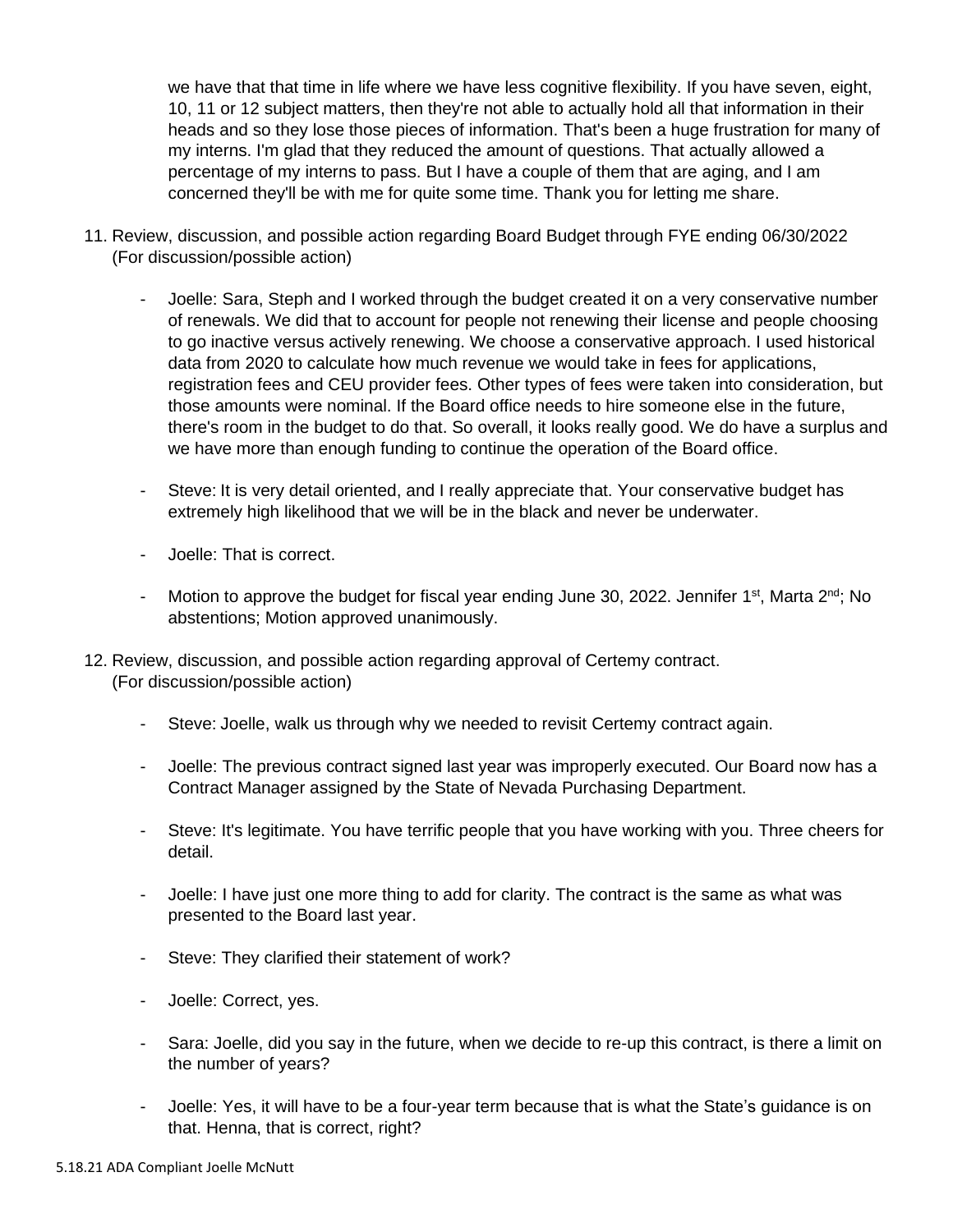we have that that time in life where we have less cognitive flexibility. If you have seven, eight, 10, 11 or 12 subject matters, then they're not able to actually hold all that information in their heads and so they lose those pieces of information. That's been a huge frustration for many of my interns. I'm glad that they reduced the amount of questions. That actually allowed a percentage of my interns to pass. But I have a couple of them that are aging, and I am concerned they'll be with me for quite some time. Thank you for letting me share.

- 11. Review, discussion, and possible action regarding Board Budget through FYE ending 06/30/2022 (For discussion/possible action)
	- Joelle: Sara, Steph and I worked through the budget created it on a very conservative number of renewals. We did that to account for people not renewing their license and people choosing to go inactive versus actively renewing. We choose a conservative approach. I used historical data from 2020 to calculate how much revenue we would take in fees for applications, registration fees and CEU provider fees. Other types of fees were taken into consideration, but those amounts were nominal. If the Board office needs to hire someone else in the future, there's room in the budget to do that. So overall, it looks really good. We do have a surplus and we have more than enough funding to continue the operation of the Board office.
	- Steve: It is very detail oriented, and I really appreciate that. Your conservative budget has extremely high likelihood that we will be in the black and never be underwater.
	- Joelle: That is correct.
	- Motion to approve the budget for fiscal year ending June 30, 2022. Jennifer 1<sup>st</sup>, Marta 2<sup>nd</sup>; No abstentions; Motion approved unanimously.
- 12. Review, discussion, and possible action regarding approval of Certemy contract. (For discussion/possible action)
	- Steve: Joelle, walk us through why we needed to revisit Certemy contract again.
	- Joelle: The previous contract signed last year was improperly executed. Our Board now has a Contract Manager assigned by the State of Nevada Purchasing Department.
	- Steve: It's legitimate. You have terrific people that you have working with you. Three cheers for detail.
	- Joelle: I have just one more thing to add for clarity. The contract is the same as what was presented to the Board last year.
	- Steve: They clarified their statement of work?
	- Joelle: Correct, yes.
	- Sara: Joelle, did you say in the future, when we decide to re-up this contract, is there a limit on the number of years?
	- Joelle: Yes, it will have to be a four-year term because that is what the State's guidance is on that. Henna, that is correct, right?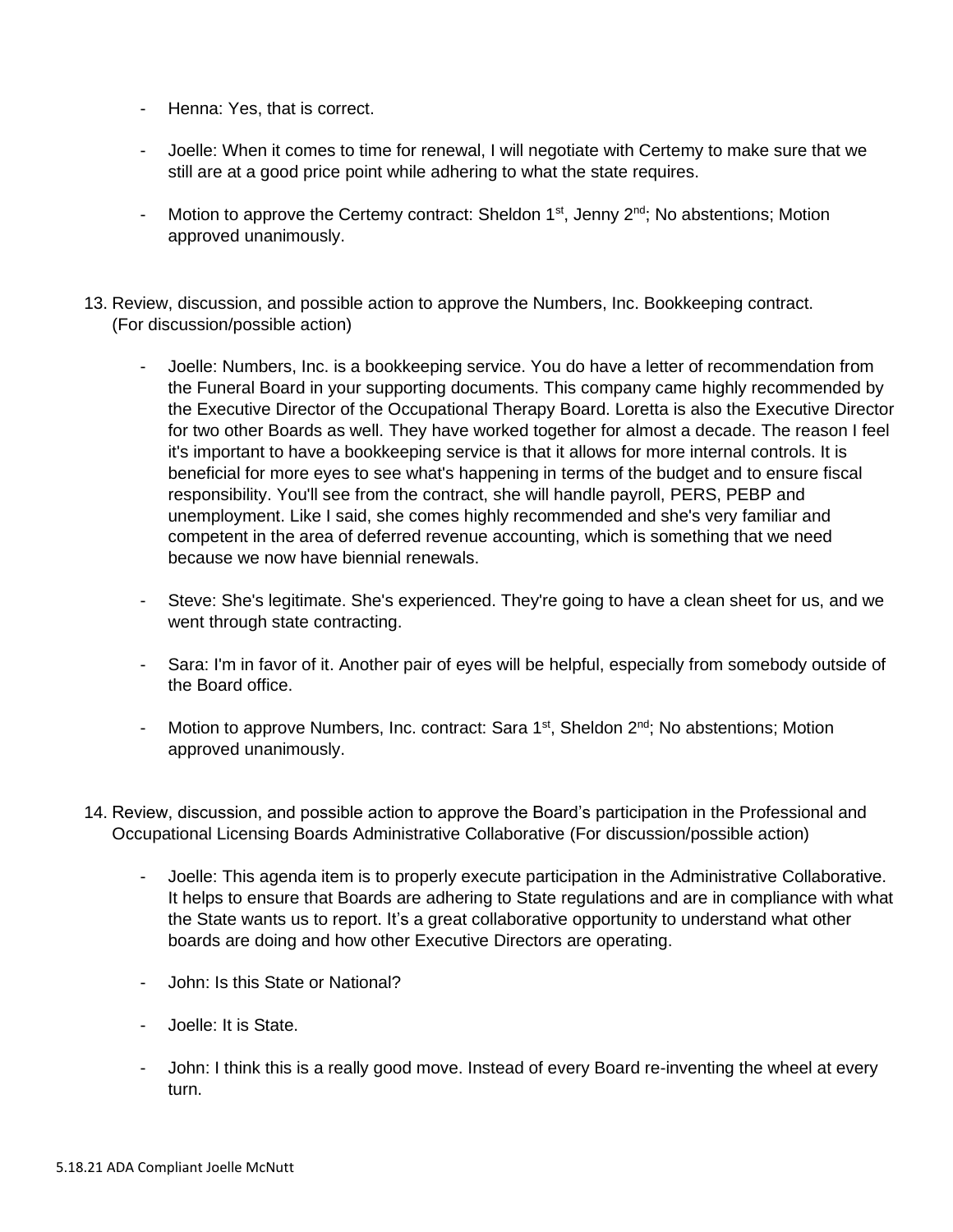- Henna: Yes, that is correct.
- Joelle: When it comes to time for renewal, I will negotiate with Certemy to make sure that we still are at a good price point while adhering to what the state requires.
- Motion to approve the Certemy contract: Sheldon  $1^{st}$ , Jenny  $2^{nd}$ ; No abstentions; Motion approved unanimously.
- 13. Review, discussion, and possible action to approve the Numbers, Inc. Bookkeeping contract. (For discussion/possible action)
	- Joelle: Numbers, Inc. is a bookkeeping service. You do have a letter of recommendation from the Funeral Board in your supporting documents. This company came highly recommended by the Executive Director of the Occupational Therapy Board. Loretta is also the Executive Director for two other Boards as well. They have worked together for almost a decade. The reason I feel it's important to have a bookkeeping service is that it allows for more internal controls. It is beneficial for more eyes to see what's happening in terms of the budget and to ensure fiscal responsibility. You'll see from the contract, she will handle payroll, PERS, PEBP and unemployment. Like I said, she comes highly recommended and she's very familiar and competent in the area of deferred revenue accounting, which is something that we need because we now have biennial renewals.
	- Steve: She's legitimate. She's experienced. They're going to have a clean sheet for us, and we went through state contracting.
	- Sara: I'm in favor of it. Another pair of eyes will be helpful, especially from somebody outside of the Board office.
	- Motion to approve Numbers, Inc. contract: Sara 1<sup>st</sup>, Sheldon 2<sup>nd</sup>; No abstentions; Motion approved unanimously.
- 14. Review, discussion, and possible action to approve the Board's participation in the Professional and Occupational Licensing Boards Administrative Collaborative (For discussion/possible action)
	- Joelle: This agenda item is to properly execute participation in the Administrative Collaborative. It helps to ensure that Boards are adhering to State regulations and are in compliance with what the State wants us to report. It's a great collaborative opportunity to understand what other boards are doing and how other Executive Directors are operating.
	- John: Is this State or National?
	- Joelle: It is State.
	- John: I think this is a really good move. Instead of every Board re-inventing the wheel at every turn.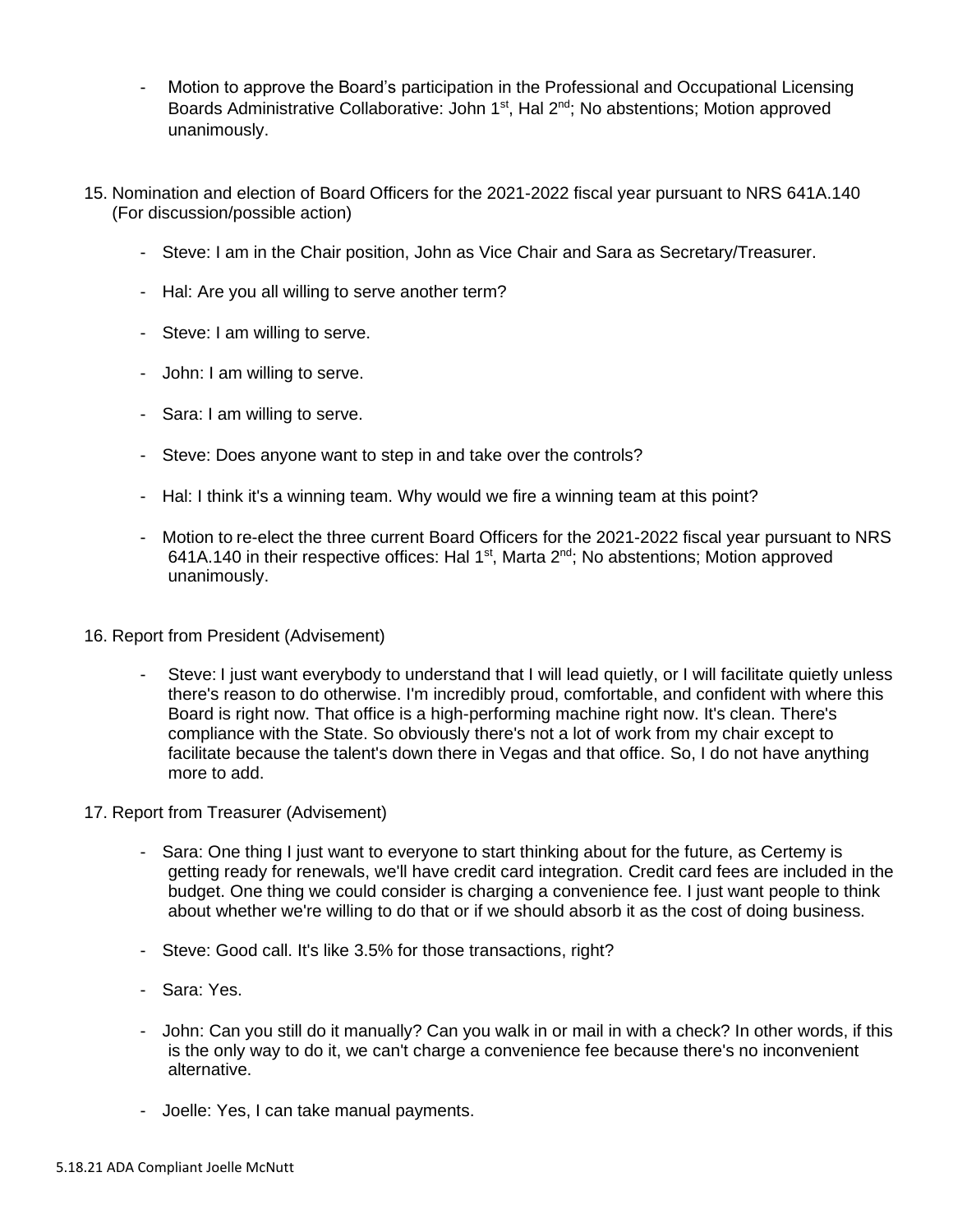- Motion to approve the Board's participation in the Professional and Occupational Licensing Boards Administrative Collaborative: John  $1<sup>st</sup>$ , Hal  $2<sup>nd</sup>$ ; No abstentions; Motion approved unanimously.
- 15. Nomination and election of Board Officers for the 2021-2022 fiscal year pursuant to NRS 641A.140 (For discussion/possible action)
	- Steve: I am in the Chair position, John as Vice Chair and Sara as Secretary/Treasurer.
	- Hal: Are you all willing to serve another term?
	- Steve: I am willing to serve.
	- John: I am willing to serve.
	- Sara: I am willing to serve.
	- Steve: Does anyone want to step in and take over the controls?
	- Hal: I think it's a winning team. Why would we fire a winning team at this point?
	- Motion to re-elect the three current Board Officers for the 2021-2022 fiscal year pursuant to NRS 641A.140 in their respective offices: Hal 1<sup>st</sup>, Marta 2<sup>nd</sup>; No abstentions; Motion approved unanimously.
- 16. Report from President (Advisement)
	- Steve: I just want everybody to understand that I will lead quietly, or I will facilitate quietly unless there's reason to do otherwise. I'm incredibly proud, comfortable, and confident with where this Board is right now. That office is a high-performing machine right now. It's clean. There's compliance with the State. So obviously there's not a lot of work from my chair except to facilitate because the talent's down there in Vegas and that office. So, I do not have anything more to add.
- 17. Report from Treasurer (Advisement)
	- Sara: One thing I just want to everyone to start thinking about for the future, as Certemy is getting ready for renewals, we'll have credit card integration. Credit card fees are included in the budget. One thing we could consider is charging a convenience fee. I just want people to think about whether we're willing to do that or if we should absorb it as the cost of doing business.
	- Steve: Good call. It's like 3.5% for those transactions, right?
	- Sara: Yes.
	- John: Can you still do it manually? Can you walk in or mail in with a check? In other words, if this is the only way to do it, we can't charge a convenience fee because there's no inconvenient alternative.
	- Joelle: Yes, I can take manual payments.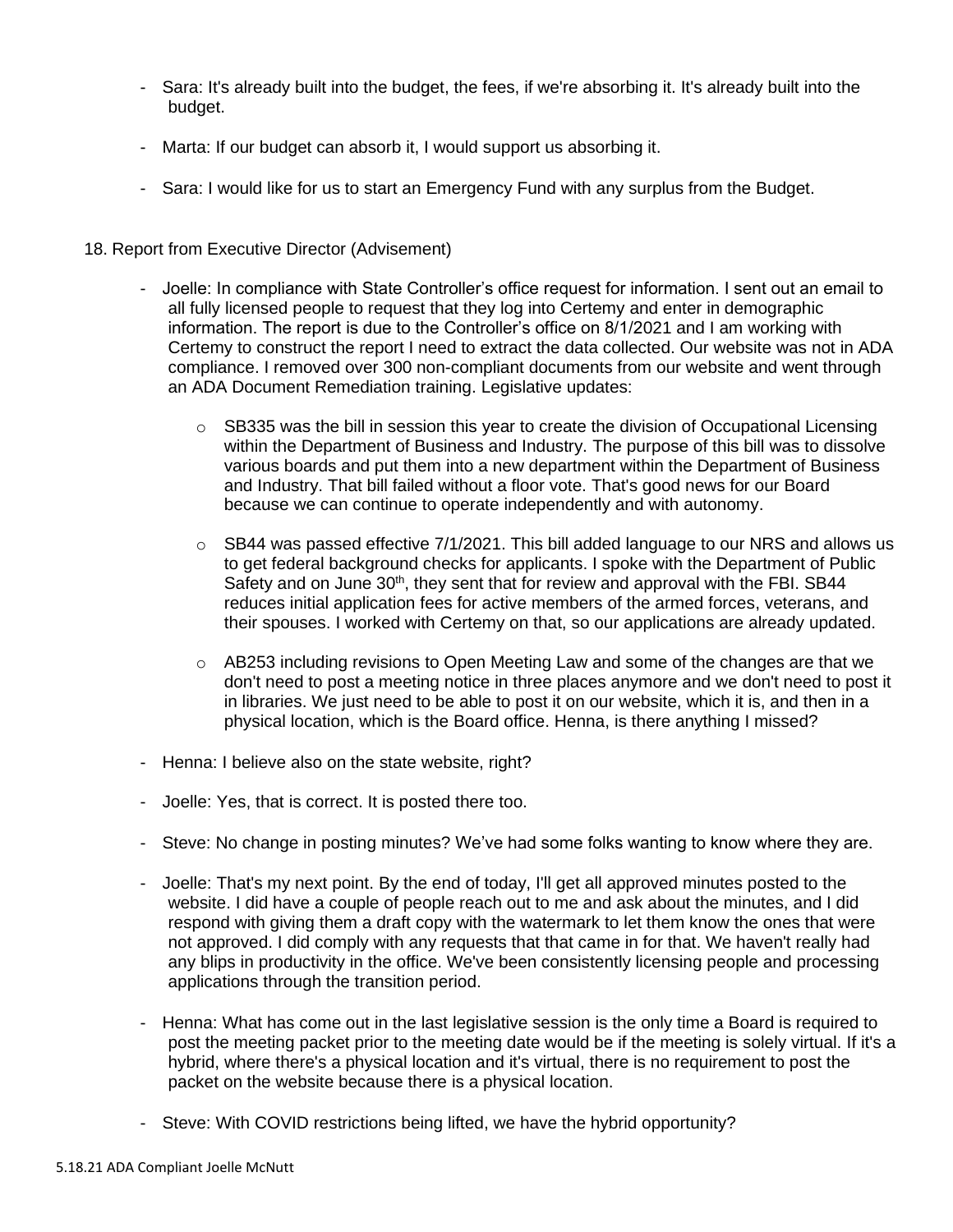- Sara: It's already built into the budget, the fees, if we're absorbing it. It's already built into the budget.
- Marta: If our budget can absorb it, I would support us absorbing it.
- Sara: I would like for us to start an Emergency Fund with any surplus from the Budget.
- 18. Report from Executive Director (Advisement)
	- Joelle: In compliance with State Controller's office request for information. I sent out an email to all fully licensed people to request that they log into Certemy and enter in demographic information. The report is due to the Controller's office on 8/1/2021 and I am working with Certemy to construct the report I need to extract the data collected. Our website was not in ADA compliance. I removed over 300 non-compliant documents from our website and went through an ADA Document Remediation training. Legislative updates:
		- $\circ$  SB335 was the bill in session this year to create the division of Occupational Licensing within the Department of Business and Industry. The purpose of this bill was to dissolve various boards and put them into a new department within the Department of Business and Industry. That bill failed without a floor vote. That's good news for our Board because we can continue to operate independently and with autonomy.
		- $\circ$  SB44 was passed effective 7/1/2021. This bill added language to our NRS and allows us to get federal background checks for applicants. I spoke with the Department of Public Safety and on June 30<sup>th</sup>, they sent that for review and approval with the FBI. SB44 reduces initial application fees for active members of the armed forces, veterans, and their spouses. I worked with Certemy on that, so our applications are already updated.
		- $\circ$  AB253 including revisions to Open Meeting Law and some of the changes are that we don't need to post a meeting notice in three places anymore and we don't need to post it in libraries. We just need to be able to post it on our website, which it is, and then in a physical location, which is the Board office. Henna, is there anything I missed?
	- Henna: I believe also on the state website, right?
	- Joelle: Yes, that is correct. It is posted there too.
	- Steve: No change in posting minutes? We've had some folks wanting to know where they are.
	- Joelle: That's my next point. By the end of today, I'll get all approved minutes posted to the website. I did have a couple of people reach out to me and ask about the minutes, and I did respond with giving them a draft copy with the watermark to let them know the ones that were not approved. I did comply with any requests that that came in for that. We haven't really had any blips in productivity in the office. We've been consistently licensing people and processing applications through the transition period.
	- Henna: What has come out in the last legislative session is the only time a Board is required to post the meeting packet prior to the meeting date would be if the meeting is solely virtual. If it's a hybrid, where there's a physical location and it's virtual, there is no requirement to post the packet on the website because there is a physical location.
	- Steve: With COVID restrictions being lifted, we have the hybrid opportunity?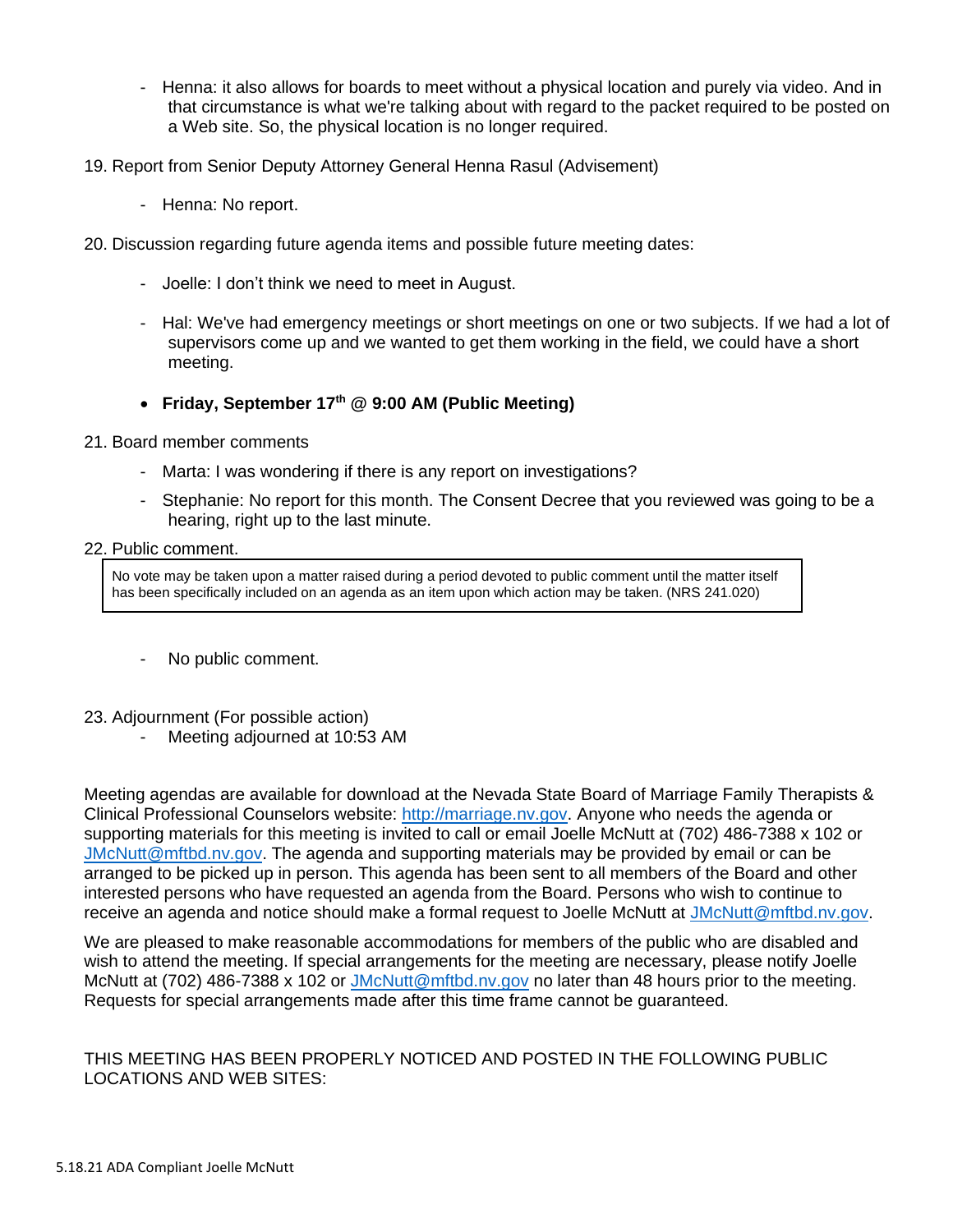- Henna: it also allows for boards to meet without a physical location and purely via video. And in that circumstance is what we're talking about with regard to the packet required to be posted on a Web site. So, the physical location is no longer required.
- 19. Report from Senior Deputy Attorney General Henna Rasul (Advisement)
	- Henna: No report.
- 20. Discussion regarding future agenda items and possible future meeting dates:
	- Joelle: I don't think we need to meet in August.
	- Hal: We've had emergency meetings or short meetings on one or two subjects. If we had a lot of supervisors come up and we wanted to get them working in the field, we could have a short meeting.
	- **Friday, September 17th @ 9:00 AM (Public Meeting)**
- 21. Board member comments
	- Marta: I was wondering if there is any report on investigations?
	- Stephanie: No report for this month. The Consent Decree that you reviewed was going to be a hearing, right up to the last minute.

#### 22. Public comment.

No vote may be taken upon a matter raised during a period devoted to public comment until the matter itself has been specifically included on an agenda as an item upon which action may be taken. (NRS 241.020)

- No public comment.
- 23. Adjournment (For possible action)
	- Meeting adjourned at 10:53 AM

Meeting agendas are available for download at the Nevada State Board of Marriage Family Therapists & Clinical Professional Counselors website: [http://marriage.nv.gov.](http://marriage.nv.gov/) Anyone who needs the agenda or supporting materials for this meeting is invited to call or email Joelle McNutt at (702) 486-7388 x 102 or [JMcNutt@mftbd.nv.gov.](mailto:JMcNutt@mftbd.nv.gov) The agenda and supporting materials may be provided by email or can be arranged to be picked up in person. This agenda has been sent to all members of the Board and other interested persons who have requested an agenda from the Board. Persons who wish to continue to receive an agenda and notice should make a formal request to Joelle McNutt at [JMcNutt@mftbd.nv.gov.](mailto:JMcNutt@mftbd.nv.gov)

We are pleased to make reasonable accommodations for members of the public who are disabled and wish to attend the meeting. If special arrangements for the meeting are necessary, please notify Joelle McNutt at (702) 486-7388 x 102 or [JMcNutt@mftbd.nv.gov](mailto:JMcNutt@mftbd.nv.gov) no later than 48 hours prior to the meeting. Requests for special arrangements made after this time frame cannot be guaranteed.

### THIS MEETING HAS BEEN PROPERLY NOTICED AND POSTED IN THE FOLLOWING PUBLIC LOCATIONS AND WEB SITES: